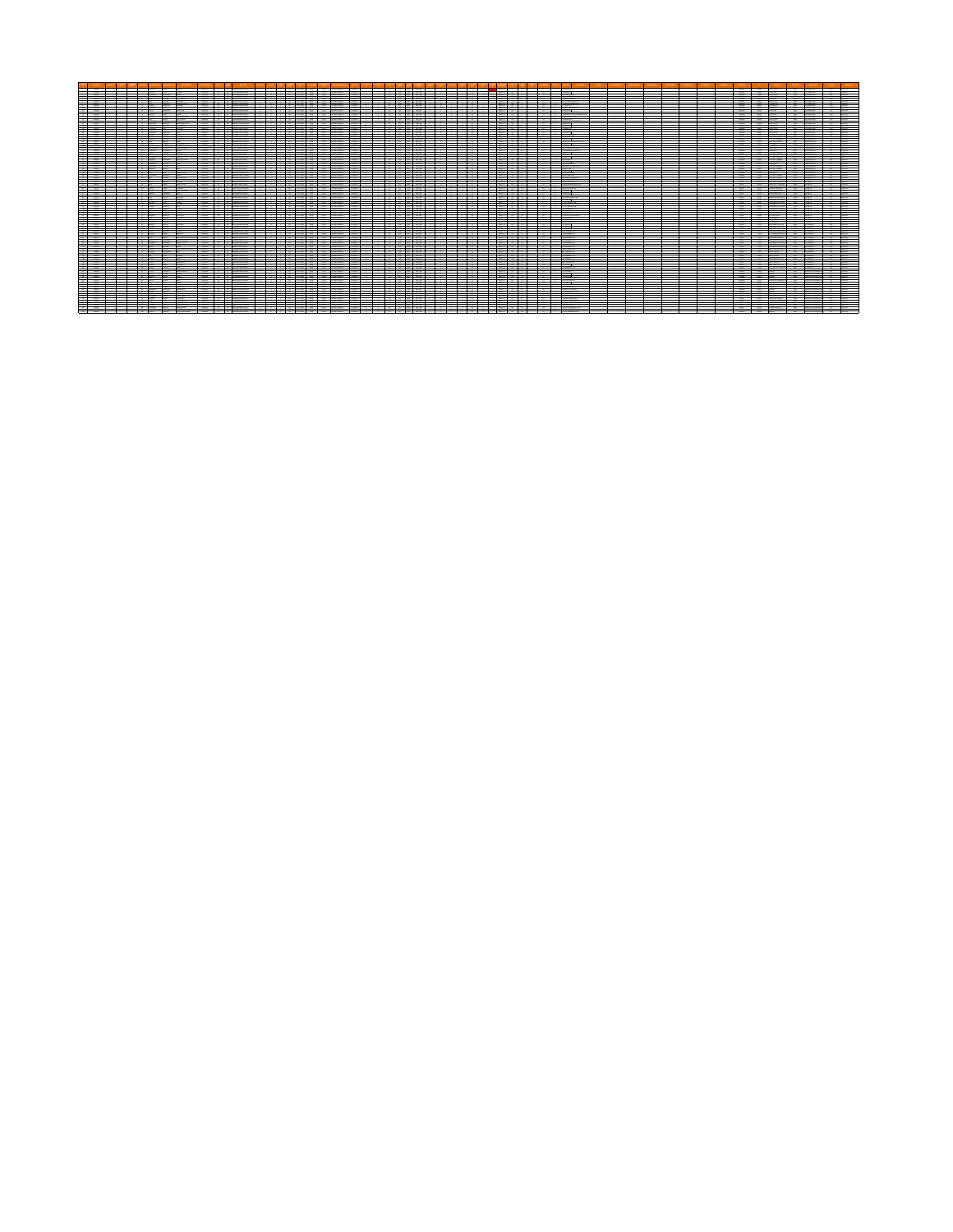| ———                            | ___         | ————                                          |                          | _______________                     | ---                                                                                                                                                                                                                                  |  |
|--------------------------------|-------------|-----------------------------------------------|--------------------------|-------------------------------------|--------------------------------------------------------------------------------------------------------------------------------------------------------------------------------------------------------------------------------------|--|
| --<br>___<br>m.                | m e         | ________<br>----                              |                          | the contract of the contract of the |                                                                                                                                                                                                                                      |  |
| ___<br>Ħ                       |             | --                                            |                          |                                     |                                                                                                                                                                                                                                      |  |
|                                | --          |                                               |                          |                                     |                                                                                                                                                                                                                                      |  |
| ——                             | ≕           |                                               |                          |                                     |                                                                                                                                                                                                                                      |  |
| 由<br>--                        | ---         | ---                                           |                          |                                     |                                                                                                                                                                                                                                      |  |
|                                | —           | __                                            |                          |                                     |                                                                                                                                                                                                                                      |  |
| ▤<br>--                        |             |                                               |                          | ----                                |                                                                                                                                                                                                                                      |  |
| ≕<br>—                         | ⋿⋕⋕         | <b>THE REAL PROPERTY</b>                      | .                        |                                     |                                                                                                                                                                                                                                      |  |
| ₩<br>--                        | حطات -      | .                                             |                          |                                     | ┱                                                                                                                                                                                                                                    |  |
| ≣<br>≖                         | Ħ           | <b>____</b><br>---                            |                          |                                     |                                                                                                                                                                                                                                      |  |
| ---<br>___                     | ---         | ---------                                     |                          |                                     |                                                                                                                                                                                                                                      |  |
| —                              | --          |                                               |                          |                                     |                                                                                                                                                                                                                                      |  |
| ÷                              | --<br>---   |                                               |                          |                                     |                                                                                                                                                                                                                                      |  |
| --                             | Ħ           | <u> Hillian Sta</u>                           |                          | <del>.</del><br>. .                 |                                                                                                                                                                                                                                      |  |
| — 1                            |             |                                               | ------                   |                                     | --<br>┳                                                                                                                                                                                                                              |  |
| --                             |             |                                               | - - - - - - - - - - -    |                                     | <b>Bonness</b>                                                                                                                                                                                                                       |  |
| ---                            | Ħ           | <del>.</del> .<br>-----------                 | --------                 | _____                               | __                                                                                                                                                                                                                                   |  |
| ┯                              |             | ==<br>I                                       | ----                     |                                     |                                                                                                                                                                                                                                      |  |
|                                | --          | _________                                     | <b>-------</b>           |                                     |                                                                                                                                                                                                                                      |  |
| --                             | ---         | ---                                           | ------                   |                                     |                                                                                                                                                                                                                                      |  |
| ≕<br>- 199                     | man a       |                                               | ------                   |                                     |                                                                                                                                                                                                                                      |  |
| ≕                              | ---         | ---------                                     | --------                 |                                     |                                                                                                                                                                                                                                      |  |
| —                              |             | __                                            | -------                  | ___                                 |                                                                                                                                                                                                                                      |  |
| −                              | <b>Tara</b> |                                               |                          | <del>.</del>                        |                                                                                                                                                                                                                                      |  |
| ਥ<br>==                        |             | THE REAL PROPERTY                             |                          | ----                                | -                                                                                                                                                                                                                                    |  |
| i                              | --          | the country of the second control and country |                          |                                     |                                                                                                                                                                                                                                      |  |
| in 1999<br>--                  | ---         | ----<br>.                                     | ------                   |                                     | _                                                                                                                                                                                                                                    |  |
| ≕                              | - 1         | ----<br>---                                   | .                        |                                     |                                                                                                                                                                                                                                      |  |
| =<br>—                         | .<br>---    | _______                                       | ------                   | .<br>__                             |                                                                                                                                                                                                                                      |  |
| j                              | man a       |                                               |                          |                                     |                                                                                                                                                                                                                                      |  |
| --<br>———                      | a se esta   |                                               | -----                    |                                     |                                                                                                                                                                                                                                      |  |
| HHH<br>--                      |             |                                               |                          |                                     |                                                                                                                                                                                                                                      |  |
| --                             | m a         |                                               |                          | .                                   | --                                                                                                                                                                                                                                   |  |
| 丰                              | Ħ.          | m n                                           | <b>--------</b>          |                                     |                                                                                                                                                                                                                                      |  |
|                                |             | l III                                         | - - <del>- - - - -</del> |                                     |                                                                                                                                                                                                                                      |  |
| -<br>--                        |             | ---                                           | _____                    |                                     |                                                                                                                                                                                                                                      |  |
| --                             | ---         |                                               | -------                  |                                     |                                                                                                                                                                                                                                      |  |
| ₿<br>▀                         | Ħ           |                                               | n a s                    |                                     |                                                                                                                                                                                                                                      |  |
| --                             |             | .<br>----                                     |                          |                                     |                                                                                                                                                                                                                                      |  |
|                                |             | ---                                           |                          |                                     |                                                                                                                                                                                                                                      |  |
| ≔<br>ਜ                         | man a       | .                                             | <del>.</del>             |                                     |                                                                                                                                                                                                                                      |  |
| ▦<br>ਜ਼                        | ≕           | .                                             | <b>- - - - -</b>         |                                     |                                                                                                                                                                                                                                      |  |
| ___                            | ----        |                                               |                          |                                     | <b>+ 10000</b>                                                                                                                                                                                                                       |  |
| --<br>≕<br>╤                   | ---<br>.    | ---                                           | ------                   |                                     |                                                                                                                                                                                                                                      |  |
| --                             | ---         |                                               |                          |                                     | <b>The Contract of the Contract of the Contract of the Contract of the Contract of the Contract of the Contract of the Contract of the Contract of the Contract of the Contract of the Contract of the Contract of the Contract </b> |  |
| ਥ<br>__                        | --          | _________                                     |                          | --<br>___________________           |                                                                                                                                                                                                                                      |  |
| —                              | ---         |                                               |                          |                                     |                                                                                                                                                                                                                                      |  |
| ⋣<br>. .                       |             | ____<br>a ser as                              |                          |                                     |                                                                                                                                                                                                                                      |  |
| — 1                            | E H         | -------------                                 | --------                 | ----                                |                                                                                                                                                                                                                                      |  |
| $\overline{\phantom{0}}$<br>-- | --          |                                               |                          |                                     |                                                                                                                                                                                                                                      |  |
| <b>PERTITE</b>                 | ≕           |                                               |                          |                                     |                                                                                                                                                                                                                                      |  |
| ——                             | ---         |                                               |                          |                                     |                                                                                                                                                                                                                                      |  |
| --<br>–                        | ---         | __                                            |                          |                                     |                                                                                                                                                                                                                                      |  |
| Ŧ<br>----                      | ---         |                                               |                          |                                     |                                                                                                                                                                                                                                      |  |